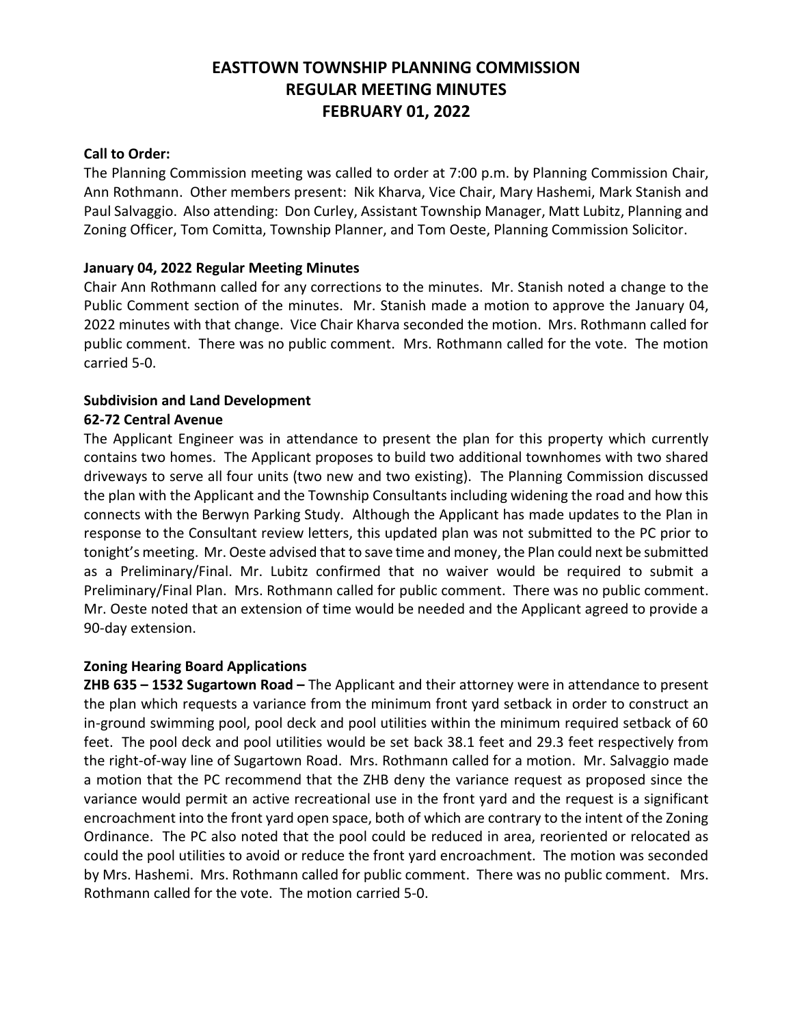# **EASTTOWN TOWNSHIP PLANNING COMMISSION REGULAR MEETING MINUTES FEBRUARY 01, 2022**

## **Call to Order:**

The Planning Commission meeting was called to order at 7:00 p.m. by Planning Commission Chair, Ann Rothmann. Other members present: Nik Kharva, Vice Chair, Mary Hashemi, Mark Stanish and Paul Salvaggio. Also attending: Don Curley, Assistant Township Manager, Matt Lubitz, Planning and Zoning Officer, Tom Comitta, Township Planner, and Tom Oeste, Planning Commission Solicitor.

# **January 04, 2022 Regular Meeting Minutes**

Chair Ann Rothmann called for any corrections to the minutes. Mr. Stanish noted a change to the Public Comment section of the minutes. Mr. Stanish made a motion to approve the January 04, 2022 minutes with that change. Vice Chair Kharva seconded the motion. Mrs. Rothmann called for public comment. There was no public comment. Mrs. Rothmann called for the vote. The motion carried 5-0.

# **Subdivision and Land Development**

# **62-72 Central Avenue**

The Applicant Engineer was in attendance to present the plan for this property which currently contains two homes. The Applicant proposes to build two additional townhomes with two shared driveways to serve all four units (two new and two existing). The Planning Commission discussed the plan with the Applicant and the Township Consultants including widening the road and how this connects with the Berwyn Parking Study. Although the Applicant has made updates to the Plan in response to the Consultant review letters, this updated plan was not submitted to the PC prior to tonight's meeting. Mr. Oeste advised that to save time and money, the Plan could next be submitted as a Preliminary/Final. Mr. Lubitz confirmed that no waiver would be required to submit a Preliminary/Final Plan. Mrs. Rothmann called for public comment. There was no public comment. Mr. Oeste noted that an extension of time would be needed and the Applicant agreed to provide a 90-day extension.

## **Zoning Hearing Board Applications**

**ZHB 635 – 1532 Sugartown Road –** The Applicant and their attorney were in attendance to present the plan which requests a variance from the minimum front yard setback in order to construct an in-ground swimming pool, pool deck and pool utilities within the minimum required setback of 60 feet. The pool deck and pool utilities would be set back 38.1 feet and 29.3 feet respectively from the right-of-way line of Sugartown Road. Mrs. Rothmann called for a motion. Mr. Salvaggio made a motion that the PC recommend that the ZHB deny the variance request as proposed since the variance would permit an active recreational use in the front yard and the request is a significant encroachment into the front yard open space, both of which are contrary to the intent of the Zoning Ordinance. The PC also noted that the pool could be reduced in area, reoriented or relocated as could the pool utilities to avoid or reduce the front yard encroachment. The motion was seconded by Mrs. Hashemi. Mrs. Rothmann called for public comment. There was no public comment. Mrs. Rothmann called for the vote. The motion carried 5-0.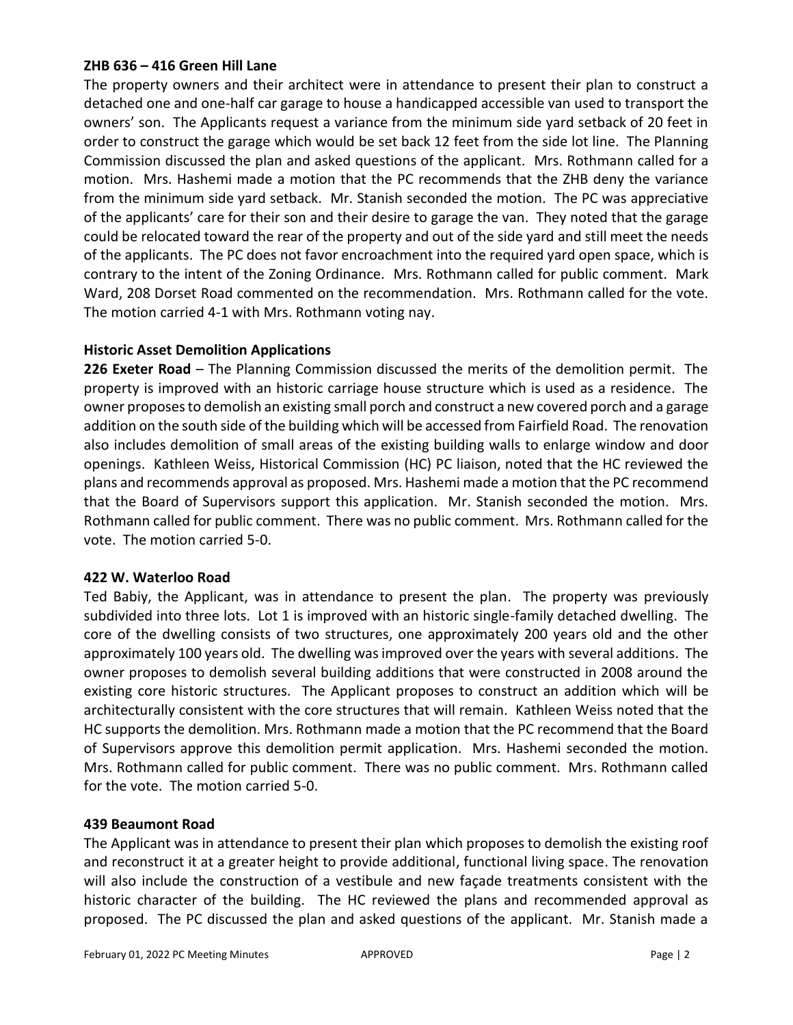#### **ZHB 636 – 416 Green Hill Lane**

The property owners and their architect were in attendance to present their plan to construct a detached one and one-half car garage to house a handicapped accessible van used to transport the owners' son. The Applicants request a variance from the minimum side yard setback of 20 feet in order to construct the garage which would be set back 12 feet from the side lot line. The Planning Commission discussed the plan and asked questions of the applicant. Mrs. Rothmann called for a motion. Mrs. Hashemi made a motion that the PC recommends that the ZHB deny the variance from the minimum side yard setback. Mr. Stanish seconded the motion. The PC was appreciative of the applicants' care for their son and their desire to garage the van. They noted that the garage could be relocated toward the rear of the property and out of the side yard and still meet the needs of the applicants. The PC does not favor encroachment into the required yard open space, which is contrary to the intent of the Zoning Ordinance. Mrs. Rothmann called for public comment. Mark Ward, 208 Dorset Road commented on the recommendation. Mrs. Rothmann called for the vote. The motion carried 4-1 with Mrs. Rothmann voting nay.

# **Historic Asset Demolition Applications**

**226 Exeter Road** – The Planning Commission discussed the merits of the demolition permit. The property is improved with an historic carriage house structure which is used as a residence. The owner proposes to demolish an existing small porch and construct a new covered porch and a garage addition on the south side of the building which will be accessed from Fairfield Road. The renovation also includes demolition of small areas of the existing building walls to enlarge window and door openings. Kathleen Weiss, Historical Commission (HC) PC liaison, noted that the HC reviewed the plans and recommends approval as proposed. Mrs. Hashemi made a motion that the PC recommend that the Board of Supervisors support this application. Mr. Stanish seconded the motion. Mrs. Rothmann called for public comment. There was no public comment. Mrs. Rothmann called for the vote. The motion carried 5-0.

## **422 W. Waterloo Road**

Ted Babiy, the Applicant, was in attendance to present the plan. The property was previously subdivided into three lots. Lot 1 is improved with an historic single-family detached dwelling. The core of the dwelling consists of two structures, one approximately 200 years old and the other approximately 100 years old. The dwelling was improved over the years with several additions. The owner proposes to demolish several building additions that were constructed in 2008 around the existing core historic structures. The Applicant proposes to construct an addition which will be architecturally consistent with the core structures that will remain. Kathleen Weiss noted that the HC supports the demolition. Mrs. Rothmann made a motion that the PC recommend that the Board of Supervisors approve this demolition permit application. Mrs. Hashemi seconded the motion. Mrs. Rothmann called for public comment. There was no public comment. Mrs. Rothmann called for the vote. The motion carried 5-0.

## **439 Beaumont Road**

The Applicant was in attendance to present their plan which proposes to demolish the existing roof and reconstruct it at a greater height to provide additional, functional living space. The renovation will also include the construction of a vestibule and new façade treatments consistent with the historic character of the building. The HC reviewed the plans and recommended approval as proposed. The PC discussed the plan and asked questions of the applicant. Mr. Stanish made a